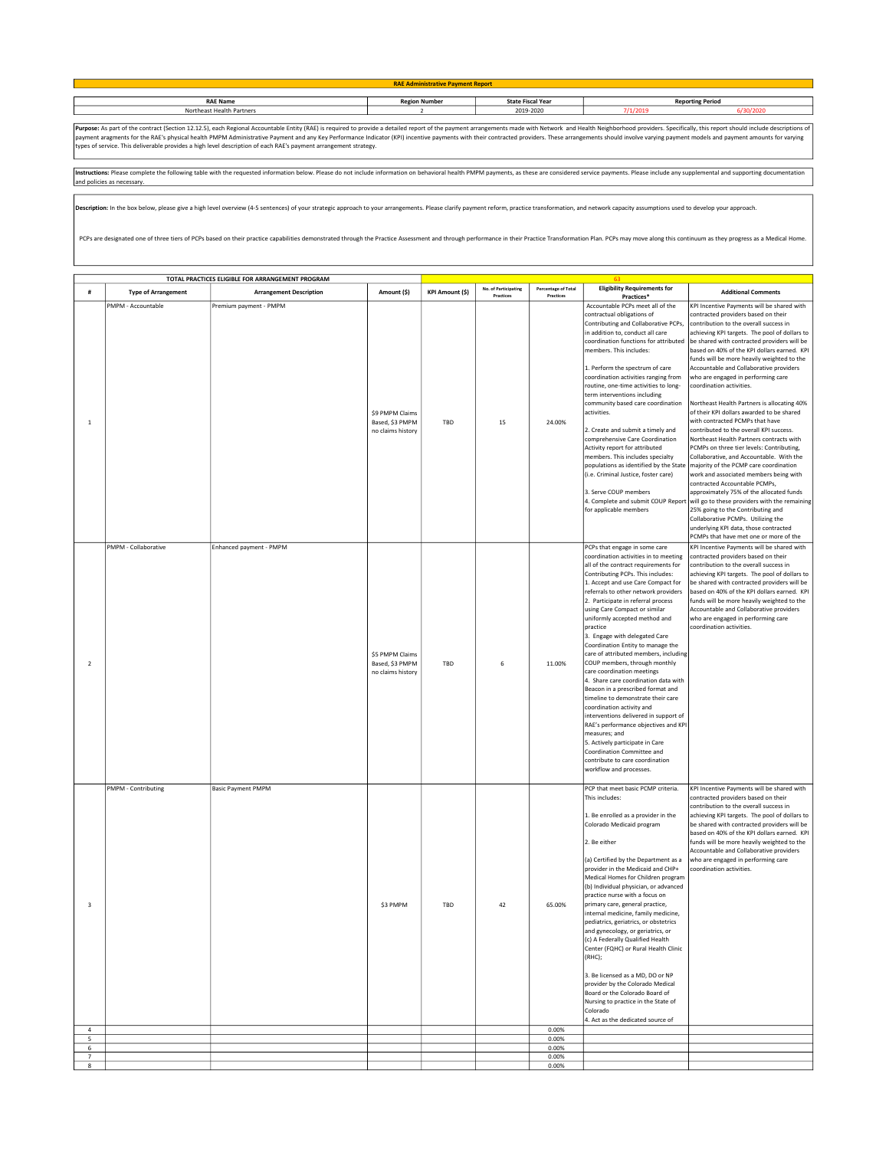| <b>RAE Admir</b>          |          |                          |               |         |  |  |
|---------------------------|----------|--------------------------|---------------|---------|--|--|
|                           |          |                          |               |         |  |  |
| <b>RAE Name</b>           | n Number | <b>State Fiscal Year</b> | orting Period |         |  |  |
| Northeast Health Partners |          | 2019-2020                | 7/1/201       | 30/2020 |  |  |
|                           |          |                          |               |         |  |  |

**Purpos**e: As part of the contract (Section 12.12.5), each Regional Accountable Entity (RAE) is required to provide a detailed report of the payment arrangements made with Network and Health Neighborhood providers. Specifi

Instructions: Please complete the following table with the requested information below. Please do not include information on behavioral health PMPM payments, as these are considered service payments. Please include any sup and policies as necessary.

Description: In the box below, please give a high level overview (4-5 sentences) of your strategic approach to your arrangements. Please clarify payment reform, practice transformation, and network capacity assumptions use

PCPs are designated one of three tiers of PCPs based on their practice capabilities demonstrated through the Practice Assessment and through performance in their Practice Transformation Plan. PCPs may move along this conti

|                         | TOTAL PRACTICES ELIGIBLE FOR ARRANGEMENT PROGRAM |                                                   |                                                         |                        |                                   |                                  |                                                                                                                                                                                                                                                                                                                                                                                                                                                                                                                                                                                                                                                                                                                                                                                                                                                                                     |                                                                                                                                                                                                                                                                                                                                                                                                                                                                                                                                                                                                                                                                                                                                                                                                                                                                                                                                                                                                                                                                                                                                                                                                                       |
|-------------------------|--------------------------------------------------|---------------------------------------------------|---------------------------------------------------------|------------------------|-----------------------------------|----------------------------------|-------------------------------------------------------------------------------------------------------------------------------------------------------------------------------------------------------------------------------------------------------------------------------------------------------------------------------------------------------------------------------------------------------------------------------------------------------------------------------------------------------------------------------------------------------------------------------------------------------------------------------------------------------------------------------------------------------------------------------------------------------------------------------------------------------------------------------------------------------------------------------------|-----------------------------------------------------------------------------------------------------------------------------------------------------------------------------------------------------------------------------------------------------------------------------------------------------------------------------------------------------------------------------------------------------------------------------------------------------------------------------------------------------------------------------------------------------------------------------------------------------------------------------------------------------------------------------------------------------------------------------------------------------------------------------------------------------------------------------------------------------------------------------------------------------------------------------------------------------------------------------------------------------------------------------------------------------------------------------------------------------------------------------------------------------------------------------------------------------------------------|
| #                       | <b>Type of Arrangement</b>                       | <b>Arrangement Description</b>                    | Amount (\$)                                             | <b>KPI Amount (\$)</b> | No. of Participating<br>Practices | Percentage of Total<br>Practices | <b>Eligibility Requirements for</b>                                                                                                                                                                                                                                                                                                                                                                                                                                                                                                                                                                                                                                                                                                                                                                                                                                                 | <b>Additional Comments</b>                                                                                                                                                                                                                                                                                                                                                                                                                                                                                                                                                                                                                                                                                                                                                                                                                                                                                                                                                                                                                                                                                                                                                                                            |
| $\mathbf{1}$            | PMPM - Accountable<br>PMPM - Collaborative       | Premium payment - PMPM<br>Enhanced payment - PMPM | \$9 PMPM Claims<br>Based, \$3 PMPM<br>no claims history | TBD                    | 15                                | 24.00%                           | Practices*<br>Accountable PCPs meet all of the<br>contractual obligations of<br>Contributing and Collaborative PCPs,<br>in addition to, conduct all care<br>coordination functions for attributed<br>members. This includes:<br>1. Perform the spectrum of care<br>coordination activities ranging from<br>routine, one-time activities to long-<br>term interventions including<br>community based care coordination<br>activities.<br>2. Create and submit a timely and<br>comprehensive Care Coordination<br>Activity report for attributed<br>members. This includes specialty<br>populations as identified by the State<br>(i.e. Criminal Justice, foster care)<br>3. Serve COUP members<br>for applicable members<br>PCPs that engage in some care                                                                                                                            | KPI Incentive Payments will be shared with<br>contracted providers based on their<br>contribution to the overall success in<br>achieving KPI targets. The pool of dollars to<br>be shared with contracted providers will be<br>based on 40% of the KPI dollars earned. KPI<br>funds will be more heavily weighted to the<br>Accountable and Collaborative providers<br>who are engaged in performing care<br>coordination activities.<br>Northeast Health Partners is allocating 40%<br>of their KPI dollars awarded to be shared<br>with contracted PCMPs that have<br>contributed to the overall KPI success.<br>Northeast Health Partners contracts with<br>PCMPs on three tier levels: Contributing,<br>Collaborative, and Accountable. With the<br>majority of the PCMP care coordination<br>work and associated members being with<br>contracted Accountable PCMPs,<br>approximately 75% of the allocated funds<br>4. Complete and submit COUP Report will go to these providers with the remaining<br>25% going to the Contributing and<br>Collaborative PCMPs. Utilizing the<br>underlying KPI data, those contracted<br>PCMPs that have met one or more of the<br>KPI Incentive Payments will be shared with |
| $\overline{2}$          |                                                  |                                                   | \$5 PMPM Claims<br>Based, \$3 PMPM<br>no claims history | TBD                    | 6                                 | 11.00%                           | coordination activities in to meeting<br>all of the contract requirements for<br>Contributing PCPs. This includes:<br>1. Accept and use Care Compact for<br>referrals to other network providers<br>2. Participate in referral process<br>using Care Compact or similar<br>uniformly accepted method and<br>practice<br>3. Engage with delegated Care<br>Coordination Entity to manage the<br>care of attributed members, including<br>COUP members, through monthly<br>care coordination meetings<br>4. Share care coordination data with<br>Beacon in a prescribed format and<br>timeline to demonstrate their care<br>coordination activity and<br>interventions delivered in support of<br>RAE's performance objectives and KPI<br>measures; and<br>5. Actively participate in Care<br>Coordination Committee and<br>contribute to care coordination<br>workflow and processes. | contracted providers based on their<br>contribution to the overall success in<br>achieving KPI targets. The pool of dollars to<br>be shared with contracted providers will be<br>based on 40% of the KPI dollars earned. KPI<br>funds will be more heavily weighted to the<br>Accountable and Collaborative providers<br>who are engaged in performing care<br>coordination activities.                                                                                                                                                                                                                                                                                                                                                                                                                                                                                                                                                                                                                                                                                                                                                                                                                               |
| $\overline{\mathbf{3}}$ | PMPM - Contributing                              | <b>Basic Payment PMPM</b>                         | \$3 PMPM                                                | TBD                    | 42                                | 65.00%                           | PCP that meet basic PCMP criteria.<br>This includes:<br>1. Be enrolled as a provider in the<br>Colorado Medicaid program<br>2. Be either<br>(a) Certified by the Department as a<br>provider in the Medicaid and CHP+<br>Medical Homes for Children program<br>(b) Individual physician, or advanced<br>practice nurse with a focus on<br>primary care, general practice,<br>internal medicine, family medicine,<br>pediatrics, geriatrics, or obstetrics<br>and gynecology, or geriatrics, or<br>(c) A Federally Qualified Health<br>Center (FQHC) or Rural Health Clinic<br>(RHC);<br>3. Be licensed as a MD, DO or NP<br>provider by the Colorado Medical<br>Board or the Colorado Board of<br>Nursing to practice in the State of<br>Colorado<br>4. Act as the dedicated source of                                                                                              | KPI Incentive Payments will be shared with<br>contracted providers based on their<br>contribution to the overall success in<br>achieving KPI targets. The pool of dollars to<br>be shared with contracted providers will be<br>based on 40% of the KPI dollars earned. KPI<br>funds will be more heavily weighted to the<br>Accountable and Collaborative providers<br>who are engaged in performing care<br>coordination activities.                                                                                                                                                                                                                                                                                                                                                                                                                                                                                                                                                                                                                                                                                                                                                                                 |
| $\overline{4}$          |                                                  |                                                   |                                                         |                        |                                   | 0.00%                            |                                                                                                                                                                                                                                                                                                                                                                                                                                                                                                                                                                                                                                                                                                                                                                                                                                                                                     |                                                                                                                                                                                                                                                                                                                                                                                                                                                                                                                                                                                                                                                                                                                                                                                                                                                                                                                                                                                                                                                                                                                                                                                                                       |
| 5<br>$\,$ 6 $\,$        |                                                  |                                                   |                                                         |                        |                                   | 0.00%<br>0.00%                   |                                                                                                                                                                                                                                                                                                                                                                                                                                                                                                                                                                                                                                                                                                                                                                                                                                                                                     |                                                                                                                                                                                                                                                                                                                                                                                                                                                                                                                                                                                                                                                                                                                                                                                                                                                                                                                                                                                                                                                                                                                                                                                                                       |
| $\overline{7}$          |                                                  |                                                   |                                                         |                        |                                   | 0.00%                            |                                                                                                                                                                                                                                                                                                                                                                                                                                                                                                                                                                                                                                                                                                                                                                                                                                                                                     |                                                                                                                                                                                                                                                                                                                                                                                                                                                                                                                                                                                                                                                                                                                                                                                                                                                                                                                                                                                                                                                                                                                                                                                                                       |
| 8                       |                                                  |                                                   |                                                         |                        |                                   | 0.00%                            |                                                                                                                                                                                                                                                                                                                                                                                                                                                                                                                                                                                                                                                                                                                                                                                                                                                                                     |                                                                                                                                                                                                                                                                                                                                                                                                                                                                                                                                                                                                                                                                                                                                                                                                                                                                                                                                                                                                                                                                                                                                                                                                                       |